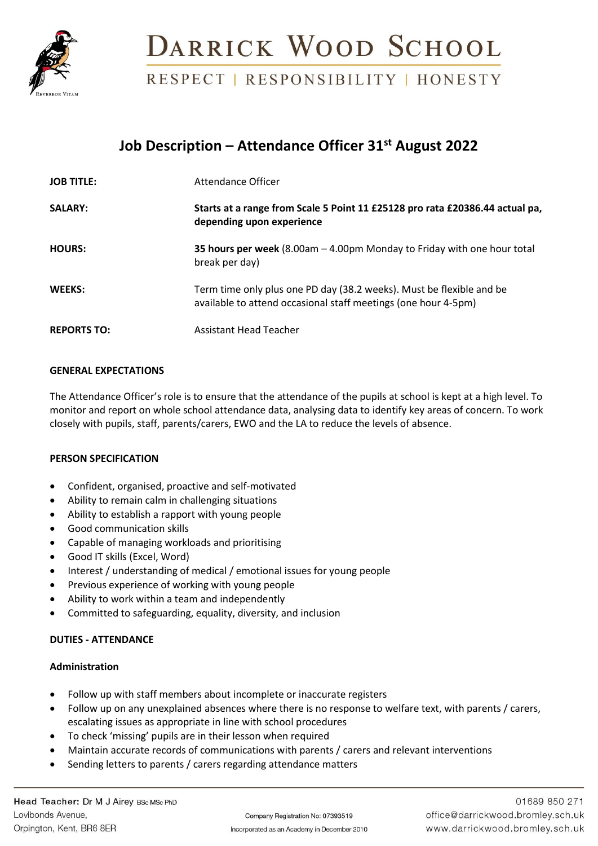

## DARRICK WOOD SCHOOL

RESPECT | RESPONSIBILITY | HONESTY

## **Job Description – Attendance Officer 31st August 2022**

| <b>JOB TITLE:</b>  | Attendance Officer                                                                                                                     |
|--------------------|----------------------------------------------------------------------------------------------------------------------------------------|
| <b>SALARY:</b>     | Starts at a range from Scale 5 Point 11 £25128 pro rata £20386.44 actual pa,<br>depending upon experience                              |
| <b>HOURS:</b>      | 35 hours per week $(8.00am - 4.00pm$ Monday to Friday with one hour total<br>break per day)                                            |
| WEEKS:             | Term time only plus one PD day (38.2 weeks). Must be flexible and be<br>available to attend occasional staff meetings (one hour 4-5pm) |
| <b>REPORTS TO:</b> | <b>Assistant Head Teacher</b>                                                                                                          |

### **GENERAL EXPECTATIONS**

The Attendance Officer's role is to ensure that the attendance of the pupils at school is kept at a high level. To monitor and report on whole school attendance data, analysing data to identify key areas of concern. To work closely with pupils, staff, parents/carers, EWO and the LA to reduce the levels of absence.

### **PERSON SPECIFICATION**

- Confident, organised, proactive and self-motivated
- Ability to remain calm in challenging situations
- Ability to establish a rapport with young people
- Good communication skills
- Capable of managing workloads and prioritising
- Good IT skills (Excel, Word)
- Interest / understanding of medical / emotional issues for young people
- Previous experience of working with young people
- Ability to work within a team and independently
- Committed to safeguarding, equality, diversity, and inclusion

### **DUTIES - ATTENDANCE**

### **Administration**

- Follow up with staff members about incomplete or inaccurate registers
- Follow up on any unexplained absences where there is no response to welfare text, with parents / carers, escalating issues as appropriate in line with school procedures
- To check 'missing' pupils are in their lesson when required
- Maintain accurate records of communications with parents / carers and relevant interventions
- Sending letters to parents / carers regarding attendance matters